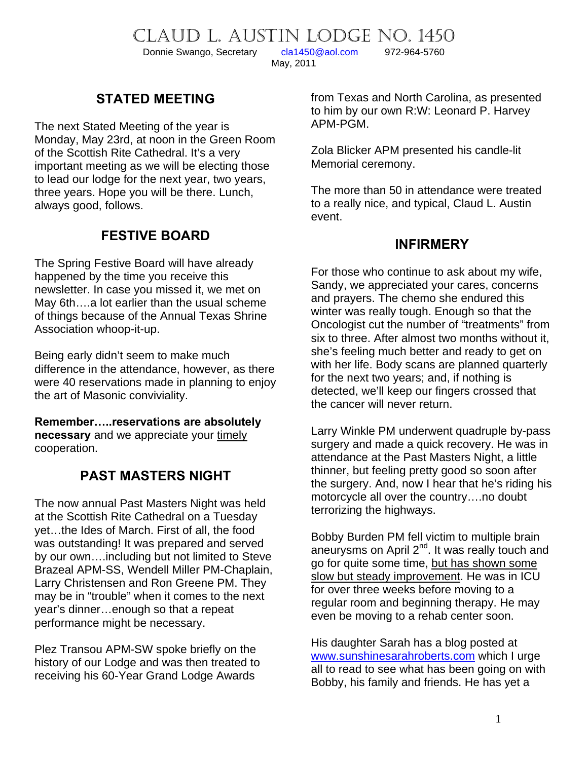CLAUD L. AUSTIN LODGE NO. 1450<br>Donnie Swango, Secretary cla1450@aol.com 972-964-5760

Donnie Swango, Secretary [cla1450@aol.com](mailto:cla1450@aol.com) 972-964-5760

May, 2011

# **STATED MEETING**

The next Stated Meeting of the year is Monday, May 23rd, at noon in the Green Room of the Scottish Rite Cathedral. It's a very important meeting as we will be electing those to lead our lodge for the next year, two years, three years. Hope you will be there. Lunch, always good, follows.

# **FESTIVE BOARD**

The Spring Festive Board will have already happened by the time you receive this newsletter. In case you missed it, we met on May 6th….a lot earlier than the usual scheme of things because of the Annual Texas Shrine Association whoop-it-up.

Being early didn't seem to make much difference in the attendance, however, as there were 40 reservations made in planning to enjoy the art of Masonic conviviality.

**Remember…..reservations are absolutely necessary** and we appreciate your timely cooperation.

# **PAST MASTERS NIGHT**

The now annual Past Masters Night was held at the Scottish Rite Cathedral on a Tuesday yet…the Ides of March. First of all, the food was outstanding! It was prepared and served by our own….including but not limited to Steve Brazeal APM-SS, Wendell Miller PM-Chaplain, Larry Christensen and Ron Greene PM. They may be in "trouble" when it comes to the next year's dinner…enough so that a repeat performance might be necessary.

Plez Transou APM-SW spoke briefly on the history of our Lodge and was then treated to receiving his 60-Year Grand Lodge Awards

from Texas and North Carolina, as presented to him by our own R:W: Leonard P. Harvey APM-PGM.

Zola Blicker APM presented his candle-lit Memorial ceremony.

The more than 50 in attendance were treated to a really nice, and typical, Claud L. Austin event.

#### **INFIRMERY**

For those who continue to ask about my wife, Sandy, we appreciated your cares, concerns and prayers. The chemo she endured this winter was really tough. Enough so that the Oncologist cut the number of "treatments" from six to three. After almost two months without it, she's feeling much better and ready to get on with her life. Body scans are planned quarterly for the next two years; and, if nothing is detected, we'll keep our fingers crossed that the cancer will never return.

Larry Winkle PM underwent quadruple by-pass surgery and made a quick recovery. He was in attendance at the Past Masters Night, a little thinner, but feeling pretty good so soon after the surgery. And, now I hear that he's riding his motorcycle all over the country….no doubt terrorizing the highways.

Bobby Burden PM fell victim to multiple brain aneurysms on April  $2^{nd}$ . It was really touch and go for quite some time, but has shown some slow but steady improvement. He was in ICU for over three weeks before moving to a regular room and beginning therapy. He may even be moving to a rehab center soon.

His daughter Sarah has a blog posted at [www.sunshinesarahroberts.com](http://www.sunshinesarahroberts.com/) which I urge all to read to see what has been going on with Bobby, his family and friends. He has yet a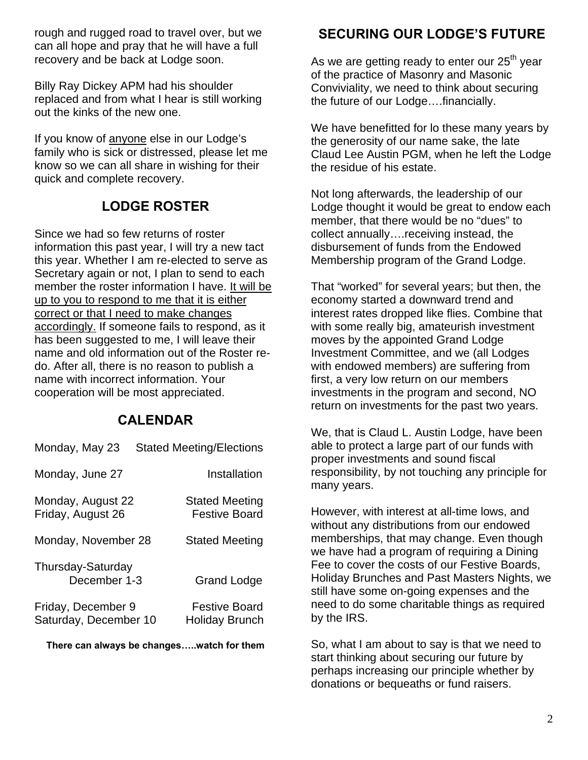rough and rugged road to travel over, but we can all hope and pray that he will have a full recovery and be back at Lodge soon.

Billy Ray Dickey APM had his shoulder replaced and from what I hear is still working out the kinks of the new one.

If you know of anyone else in our Lodge's family who is sick or distressed, please let me know so we can all share in wishing for their quick and complete recovery.

### **LODGE ROSTER**

Since we had so few returns of roster information this past year, I will try a new tact this year. Whether I am re-elected to serve as Secretary again or not, I plan to send to each member the roster information I have. It will be up to you to respond to me that it is either correct or that I need to make changes accordingly. If someone fails to respond, as it has been suggested to me, I will leave their name and old information out of the Roster redo. After all, there is no reason to publish a name with incorrect information. Your cooperation will be most appreciated.

#### **CALENDAR**

| Monday, May 23                              | <b>Stated Meeting/Elections</b>               |
|---------------------------------------------|-----------------------------------------------|
| Monday, June 27                             | Installation                                  |
| Monday, August 22<br>Friday, August 26      | <b>Stated Meeting</b><br><b>Festive Board</b> |
| Monday, November 28                         | <b>Stated Meeting</b>                         |
| Thursday-Saturday<br>December 1-3           | <b>Grand Lodge</b>                            |
| Friday, December 9<br>Saturday, December 10 | <b>Festive Board</b><br><b>Holiday Brunch</b> |

**There can always be changes…..watch for them** 

### **SECURING OUR LODGE'S FUTURE**

As we are getting ready to enter our  $25<sup>th</sup>$  year of the practice of Masonry and Masonic Conviviality, we need to think about securing the future of our Lodge….financially.

We have benefitted for lo these many years by the generosity of our name sake, the late Claud Lee Austin PGM, when he left the Lodge the residue of his estate.

Not long afterwards, the leadership of our Lodge thought it would be great to endow each member, that there would be no "dues" to collect annually….receiving instead, the disbursement of funds from the Endowed Membership program of the Grand Lodge.

That "worked" for several years; but then, the economy started a downward trend and interest rates dropped like flies. Combine that with some really big, amateurish investment moves by the appointed Grand Lodge Investment Committee, and we (all Lodges with endowed members) are suffering from first, a very low return on our members investments in the program and second, NO return on investments for the past two years.

We, that is Claud L. Austin Lodge, have been able to protect a large part of our funds with proper investments and sound fiscal responsibility, by not touching any principle for many years.

However, with interest at all-time lows, and without any distributions from our endowed memberships, that may change. Even though we have had a program of requiring a Dining Fee to cover the costs of our Festive Boards, Holiday Brunches and Past Masters Nights, we still have some on-going expenses and the need to do some charitable things as required by the IRS.

So, what I am about to say is that we need to start thinking about securing our future by perhaps increasing our principle whether by donations or bequeaths or fund raisers.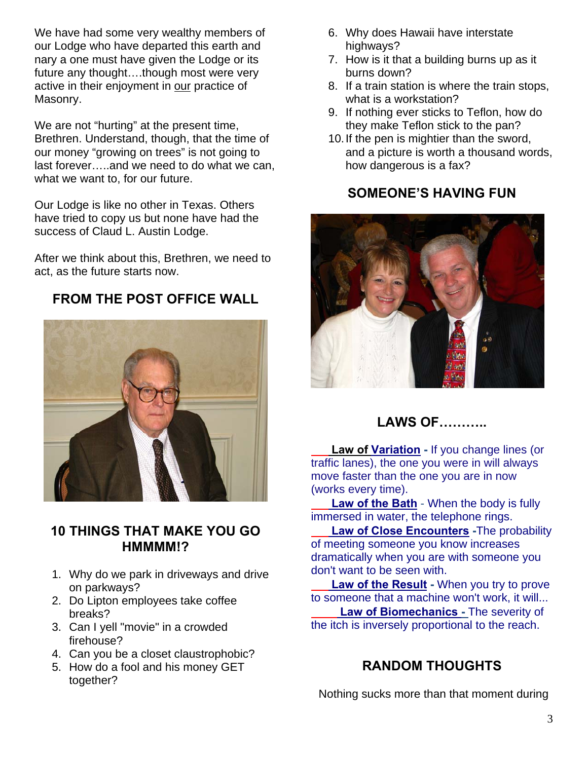We have had some very wealthy members of our Lodge who have departed this earth and nary a one must have given the Lodge or its future any thought….though most were very active in their enjoyment in our practice of Masonry.

We are not "hurting" at the present time, Brethren. Understand, though, that the time of our money "growing on trees" is not going to last forever…..and we need to do what we can, what we want to, for our future.

Our Lodge is like no other in Texas. Others have tried to copy us but none have had the success of Claud L. Austin Lodge.

After we think about this, Brethren, we need to act, as the future starts now.

**FROM THE POST OFFICE WALL** 



### **10 THINGS THAT MAKE YOU GO HMMMM!?**

- 1. Why do we park in driveways and drive on parkways?
- 2. Do Lipton employees take coffee breaks?
- 3. Can I yell "movie" in a crowded firehouse?
- 4. Can you be a closet claustrophobic?
- 5. How do a fool and his money GET together?
- 6. Why does Hawaii have interstate highways?
- 7. How is it that a building burns up as it burns down?
- 8. If a train station is where the train stops, what is a workstation?
- 9. If nothing ever sticks to Teflon, how do they make Teflon stick to the pan?
- 10. If the pen is mightier than the sword, and a picture is worth a thousand words, how dangerous is a fax?

# **SOMEONE'S HAVING FUN**



**LAWS OF………..** 

 **Law of Variation -** If you change lines (or traffic lanes), the one you were in will always move faster than the one you are in now (works every time).

 **Law of the Bath** - When the body is fully immersed in water, the telephone rings.

**Law of Close Encounters** - The probability o f meeting someone you know increases dramatically when you are with someone you don't want to be seen with.

 **Law of the Result -** When you try to prove to someone that a machine won't work, it will...  **Law of Biomechanics -** The severity of the itch is inversely proportional to the reach.

# **RANDOM THOUGHTS**

Nothing sucks more than that moment during